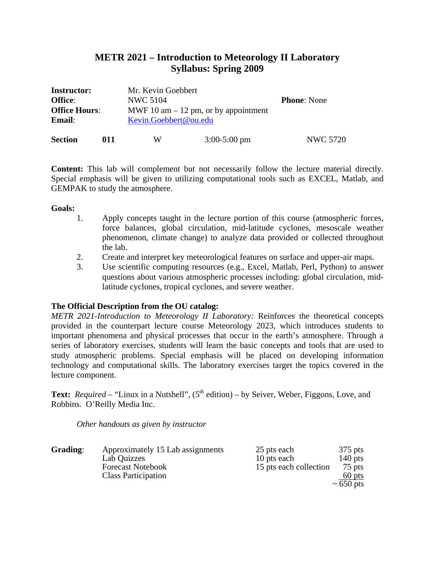# **METR 2021 – Introduction to Meteorology II Laboratory Syllabus: Spring 2009**

| <b>Instructor:</b>                     |     | Mr. Kevin Goebbert                     |                |                    |
|----------------------------------------|-----|----------------------------------------|----------------|--------------------|
| <b>Office:</b><br><b>Office Hours:</b> |     | NWC 5104                               |                | <b>Phone:</b> None |
|                                        |     | MWF 10 am $-$ 12 pm, or by appointment |                |                    |
| <b>Email:</b>                          |     | Kevin.Goebbert@ou.edu                  |                |                    |
| <b>Section</b>                         | 011 | W                                      | $3:00-5:00$ pm | <b>NWC 5720</b>    |

**Content:** This lab will complement but not necessarily follow the lecture material directly. Special emphasis will be given to utilizing computational tools such as EXCEL, Matlab, and GEMPAK to study the atmosphere.

# **Goals:**

- 1. Apply concepts taught in the lecture portion of this course (atmospheric forces, force balances, global circulation, mid-latitude cyclones, mesoscale weather phenomenon, climate change) to analyze data provided or collected throughout the lab.
- 2. Create and interpret key meteorological features on surface and upper-air maps.
- 3. Use scientific computing resources (e.g., Excel, Matlab, Perl, Python) to answer questions about various atmospheric processes including: global circulation, midlatitude cyclones, tropical cyclones, and severe weather.

# **The Official Description from the OU catalog:**

*METR 2021-Introduction to Meteorology II Laboratory:* Reinforces the theoretical concepts provided in the counterpart lecture course Meteorology 2023, which introduces students to important phenomena and physical processes that occur in the earth's atmosphere. Through a series of laboratory exercises, students will learn the basic concepts and tools that are used to study atmospheric problems. Special emphasis will be placed on developing information technology and computational skills. The laboratory exercises target the topics covered in the lecture component.

**Text:** *Required* – "Linux in a Nutshell",  $(5<sup>th</sup> edition)$  – by Seiver, Weber, Figgons, Love, and Robbins. O'Reilly Media Inc.

*Other handouts as given by instructor* 

| Grading: | Approximately 15 Lab assignments | 25 pts each            | $375$ pts      |
|----------|----------------------------------|------------------------|----------------|
|          | Lab Quizzes                      | 10 pts each            | 140 pts        |
|          | <b>Forecast Notebook</b>         | 15 pts each collection | 75 pts         |
|          | <b>Class Participation</b>       |                        | $60$ pts       |
|          |                                  |                        | $\sim 650$ pts |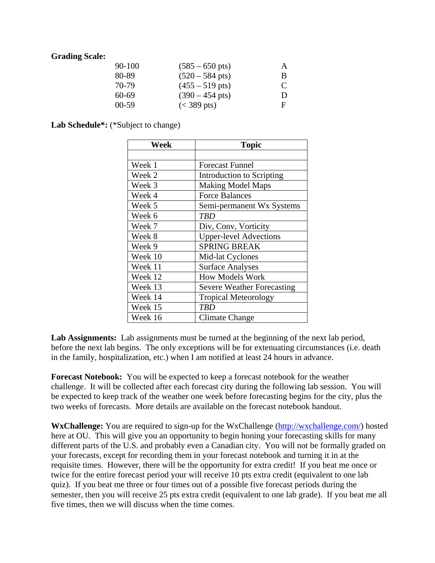# **Grading Scale:**

| $90-100$  | $(585 - 650 \text{ pts})$ | A |
|-----------|---------------------------|---|
| 80-89     | $(520 - 584 \text{ pts})$ | B |
| 70-79     | $(455 - 519 \text{ pts})$ | C |
| 60-69     | $(390 - 454 \text{ pts})$ | D |
| $00 - 59$ | $(< 389 \text{ pts})$     | F |

Lab Schedule<sup>\*</sup>: (\*Subject to change)

| Week    | <b>Topic</b>                      |
|---------|-----------------------------------|
|         |                                   |
| Week 1  | <b>Forecast Funnel</b>            |
| Week 2  | Introduction to Scripting         |
| Week 3  | <b>Making Model Maps</b>          |
| Week 4  | <b>Force Balances</b>             |
| Week 5  | Semi-permanent Wx Systems         |
| Week 6  | TBD                               |
| Week 7  | Div, Conv, Vorticity              |
| Week 8  | <b>Upper-level Advections</b>     |
| Week 9  | <b>SPRING BREAK</b>               |
| Week 10 | Mid-lat Cyclones                  |
| Week 11 | <b>Surface Analyses</b>           |
| Week 12 | <b>How Models Work</b>            |
| Week 13 | <b>Severe Weather Forecasting</b> |
| Week 14 | <b>Tropical Meteorology</b>       |
| Week 15 | TBD                               |
| Week 16 | Climate Change                    |

Lab Assignments: Lab assignments must be turned at the beginning of the next lab period, before the next lab begins. The only exceptions will be for extenuating circumstances (i.e. death in the family, hospitalization, etc.) when I am notified at least 24 hours in advance.

**Forecast Notebook:** You will be expected to keep a forecast notebook for the weather challenge. It will be collected after each forecast city during the following lab session. You will be expected to keep track of the weather one week before forecasting begins for the city, plus the two weeks of forecasts. More details are available on the forecast notebook handout.

**WxChallenge:** You are required to sign-up for the WxChallenge (http://wxchallenge.com/) hosted here at OU. This will give you an opportunity to begin honing your forecasting skills for many different parts of the U.S. and probably even a Canadian city. You will not be formally graded on your forecasts, except for recording them in your forecast notebook and turning it in at the requisite times. However, there will be the opportunity for extra credit! If you beat me once or twice for the entire forecast period your will receive 10 pts extra credit (equivalent to one lab quiz). If you beat me three or four times out of a possible five forecast periods during the semester, then you will receive 25 pts extra credit (equivalent to one lab grade). If you beat me all five times, then we will discuss when the time comes.